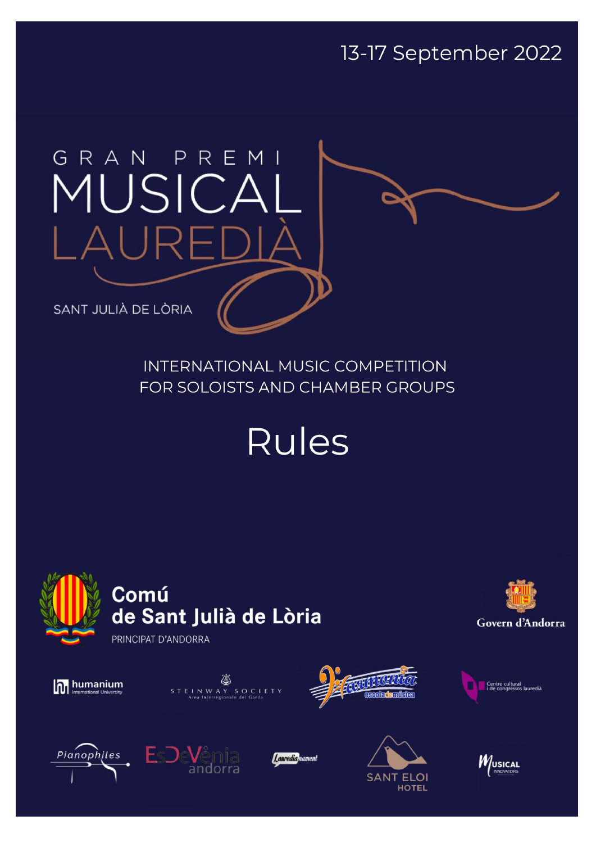13-17 September 2022

# GRAN PREM MUSICA  $\cup \mathsf{R}$

SANT JULIÀ DE LÒRIA

**INTERNATIONAL MUSIC COMPETITION** FOR SOLOISTS AND CHAMBER GROUPS

**Rules** 







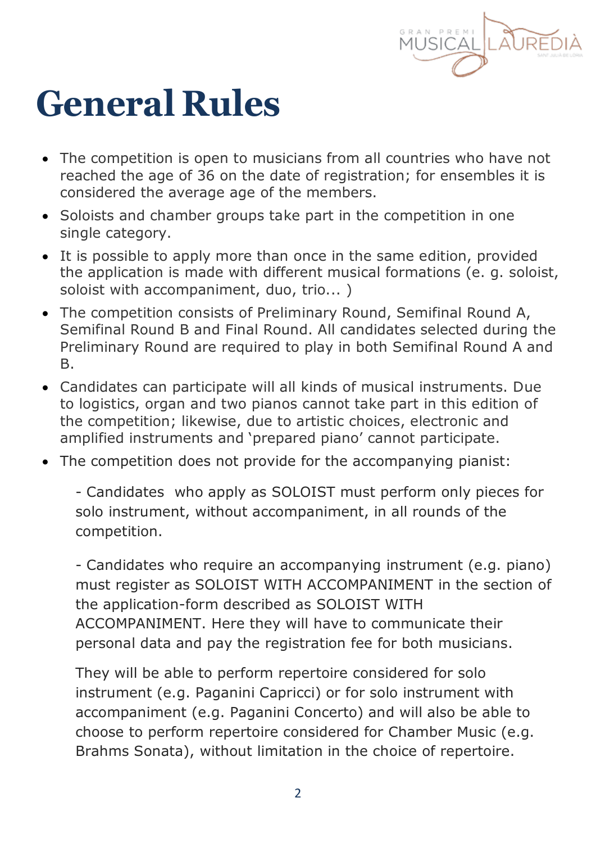

## **General Rules**

- The competition is open to musicians from all countries who have not reached the age of 36 on the date of registration; for ensembles it is considered the average age of the members.
- Soloists and chamber groups take part in the competition in one single category.
- It is possible to apply more than once in the same edition, provided the application is made with different musical formations (e. g. soloist, soloist with accompaniment, duo, trio... )
- The competition consists of Preliminary Round, Semifinal Round A, Semifinal Round B and Final Round. All candidates selected during the Preliminary Round are required to play in both Semifinal Round A and B.
- Candidates can participate will all kinds of musical instruments. Due to logistics, organ and two pianos cannot take part in this edition of the competition; likewise, due to artistic choices, electronic and amplified instruments and 'prepared piano' cannot participate.
- The competition does not provide for the accompanying pianist:

- Candidates who apply as SOLOIST must perform only pieces for solo instrument, without accompaniment, in all rounds of the competition.

- Candidates who require an accompanying instrument (e.g. piano) must register as SOLOIST WITH ACCOMPANIMENT in the section of the application-form described as SOLOIST WITH ACCOMPANIMENT. Here they will have to communicate their personal data and pay the registration fee for both musicians.

They will be able to perform repertoire considered for solo instrument (e.g. Paganini Capricci) or for solo instrument with accompaniment (e.g. Paganini Concerto) and will also be able to choose to perform repertoire considered for Chamber Music (e.g. Brahms Sonata), without limitation in the choice of repertoire.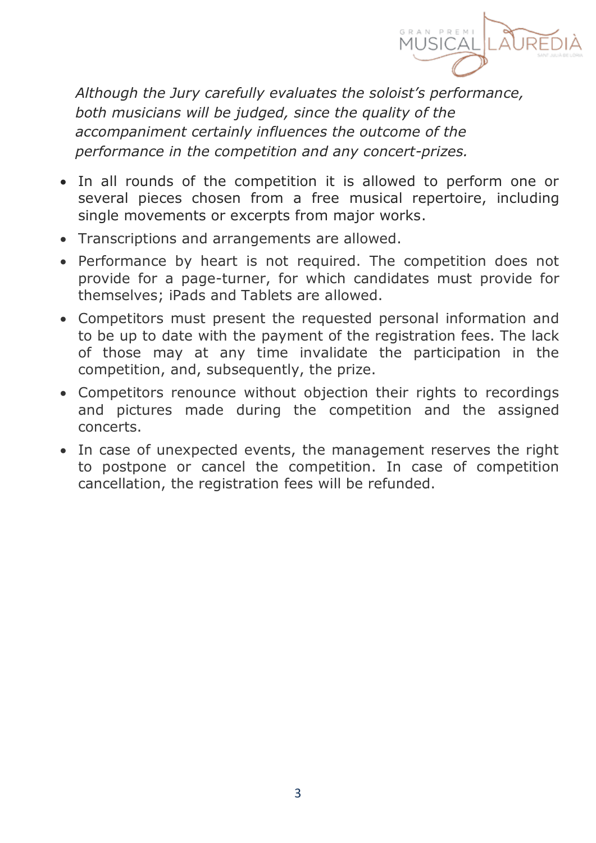

*Although the Jury carefully evaluates the soloist's performance, both musicians will be judged, since the quality of the accompaniment certainly influences the outcome of the performance in the competition and any concert-prizes.*

- In all rounds of the competition it is allowed to perform one or several pieces chosen from a free musical repertoire, including single movements or excerpts from major works.
- Transcriptions and arrangements are allowed.
- Performance by heart is not required. The competition does not provide for a page-turner, for which candidates must provide for themselves; iPads and Tablets are allowed.
- Competitors must present the requested personal information and to be up to date with the payment of the registration fees. The lack of those may at any time invalidate the participation in the competition, and, subsequently, the prize.
- Competitors renounce without objection their rights to recordings and pictures made during the competition and the assigned concerts.
- In case of unexpected events, the management reserves the right to postpone or cancel the competition. In case of competition cancellation, the registration fees will be refunded.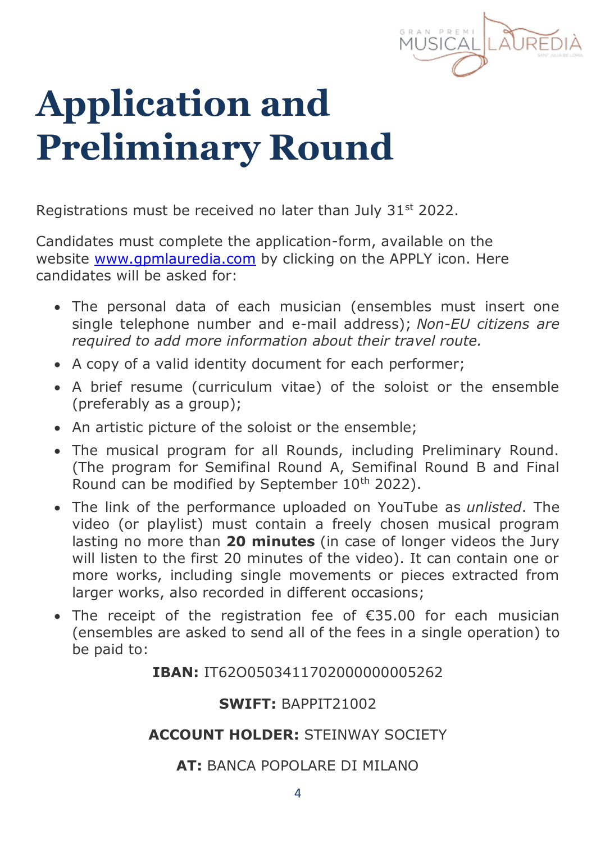

# **Application and Preliminary Round**

Registrations must be received no later than July 31<sup>st</sup> 2022.

Candidates must complete the application-form, available on the website [www.gpmlauredia.com](https://gpmlauredia.com/en/www.gpmlauredia.com) by clicking on the APPLY icon. Here candidates will be asked for:

- The personal data of each musician (ensembles must insert one single telephone number and e-mail address); *Non-EU citizens are required to add more information about their travel route.*
- A copy of a valid identity document for each performer;
- A brief resume (curriculum vitae) of the soloist or the ensemble (preferably as a group);
- An artistic picture of the soloist or the ensemble;
- The musical program for all Rounds, including Preliminary Round. (The program for Semifinal Round A, Semifinal Round B and Final Round can be modified by September 10<sup>th</sup> 2022).
- The link of the performance uploaded on YouTube as *unlisted*. The video (or playlist) must contain a freely chosen musical program lasting no more than **20 minutes** (in case of longer videos the Jury will listen to the first 20 minutes of the video). It can contain one or more works, including single movements or pieces extracted from larger works, also recorded in different occasions;
- The receipt of the registration fee of €35.00 for each musician (ensembles are asked to send all of the fees in a single operation) to be paid to:

### **IBAN:** IT62O0503411702000000005262

### **SWIFT:** BAPPIT21002

### **ACCOUNT HOLDER:** STEINWAY SOCIETY

### **AT:** BANCA POPOLARE DI MILANO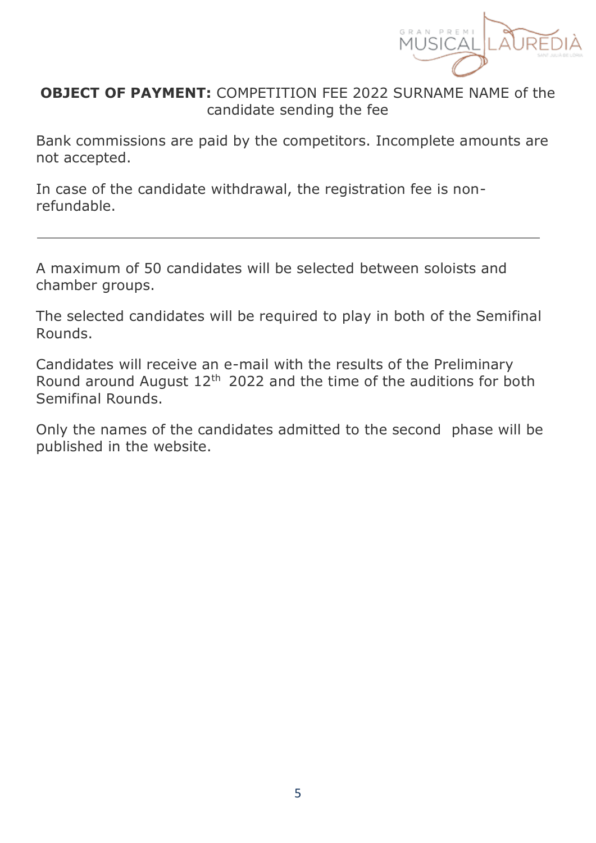

### **OBJECT OF PAYMENT:** COMPETITION FEE 2022 SURNAME NAME of the candidate sending the fee

Bank commissions are paid by the competitors. Incomplete amounts are not accepted.

In case of the candidate withdrawal, the registration fee is nonrefundable.

A maximum of 50 candidates will be selected between soloists and chamber groups.

The selected candidates will be required to play in both of the Semifinal Rounds.

Candidates will receive an e-mail with the results of the Preliminary Round around August 12<sup>th</sup> 2022 and the time of the auditions for both Semifinal Rounds.

Only the names of the candidates admitted to the second phase will be published in the website.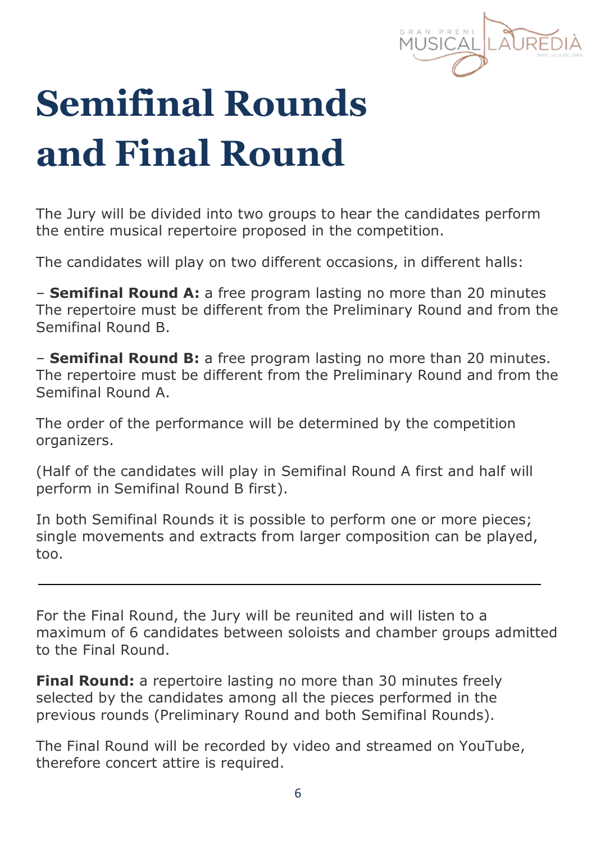# **Semifinal Rounds and Final Round**

The Jury will be divided into two groups to hear the candidates perform the entire musical repertoire proposed in the competition.

The candidates will play on two different occasions, in different halls:

– **Semifinal Round A:** a free program lasting no more than 20 minutes The repertoire must be different from the Preliminary Round and from the Semifinal Round B.

– **Semifinal Round B:** a free program lasting no more than 20 minutes. The repertoire must be different from the Preliminary Round and from the Semifinal Round A.

The order of the performance will be determined by the competition organizers.

(Half of the candidates will play in Semifinal Round A first and half will perform in Semifinal Round B first).

In both Semifinal Rounds it is possible to perform one or more pieces; single movements and extracts from larger composition can be played, too.

For the Final Round, the Jury will be reunited and will listen to a maximum of 6 candidates between soloists and chamber groups admitted to the Final Round.

**Final Round:** a repertoire lasting no more than 30 minutes freely selected by the candidates among all the pieces performed in the previous rounds (Preliminary Round and both Semifinal Rounds).

The Final Round will be recorded by video and streamed on YouTube, therefore concert attire is required.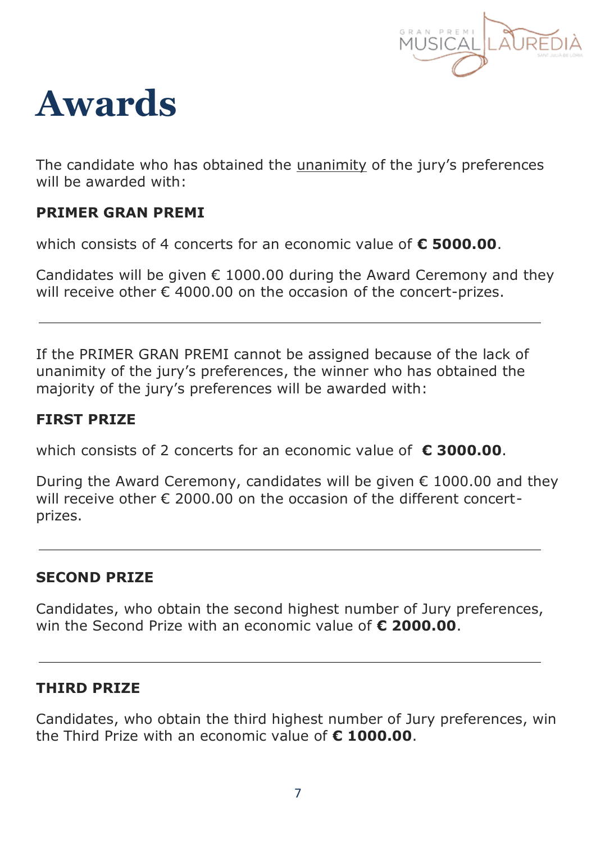

### **Awards**

The candidate who has obtained the unanimity of the jury's preferences will be awarded with:

### **PRIMER GRAN PREMI**

which consists of 4 concerts for an economic value of **€ 5000.00**.

Candidates will be given  $\epsilon$  1000.00 during the Award Ceremony and they will receive other  $\epsilon$  4000.00 on the occasion of the concert-prizes.

If the PRIMER GRAN PREMI cannot be assigned because of the lack of unanimity of the jury's preferences, the winner who has obtained the majority of the jury's preferences will be awarded with:

### **FIRST PRIZE**

which consists of 2 concerts for an economic value of **€ 3000.00**.

During the Award Ceremony, candidates will be given  $€$  1000.00 and they will receive other  $\epsilon$  2000.00 on the occasion of the different concertprizes.

### **SECOND PRIZE**

Candidates, who obtain the second highest number of Jury preferences, win the Second Prize with an economic value of **€ 2000.00**.

### **THIRD PRIZE**

Candidates, who obtain the third highest number of Jury preferences, win the Third Prize with an economic value of **€ 1000.00**.